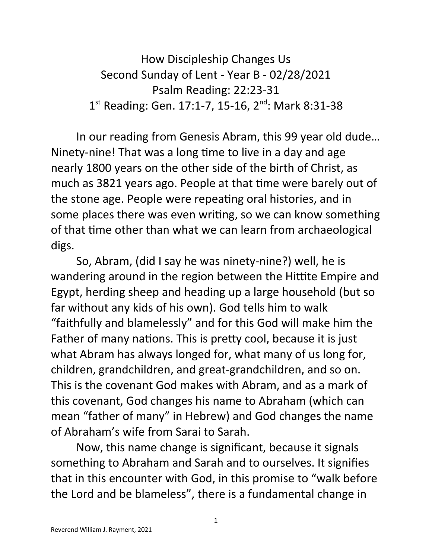How Discipleship Changes Us Second Sunday of Lent - Year B - 02/28/2021 Psalm Reading: 22:23-31 1<sup>st</sup> Reading: Gen. 17:1-7, 15-16, 2<sup>nd</sup>: Mark 8:31-38

In our reading from Genesis Abram, this 99 year old dude… Ninety-nine! That was a long time to live in a day and age nearly 1800 years on the other side of the birth of Christ, as much as 3821 years ago. People at that time were barely out of the stone age. People were repeating oral histories, and in some places there was even writing, so we can know something of that time other than what we can learn from archaeological digs.

So, Abram, (did I say he was ninety-nine?) well, he is wandering around in the region between the Hittite Empire and Egypt, herding sheep and heading up a large household (but so far without any kids of his own). God tells him to walk "faithfully and blamelessly" and for this God will make him the Father of many nations. This is pretty cool, because it is just what Abram has always longed for, what many of us long for, children, grandchildren, and great-grandchildren, and so on. This is the covenant God makes with Abram, and as a mark of this covenant, God changes his name to Abraham (which can mean "father of many" in Hebrew) and God changes the name of Abraham's wife from Sarai to Sarah.

Now, this name change is significant, because it signals something to Abraham and Sarah and to ourselves. It signifies that in this encounter with God, in this promise to "walk before the Lord and be blameless", there is a fundamental change in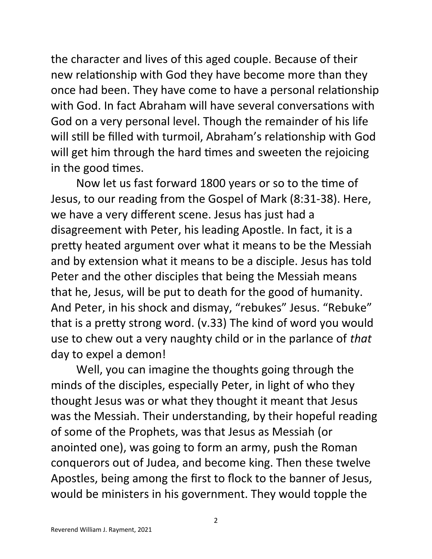the character and lives of this aged couple. Because of their new relationship with God they have become more than they once had been. They have come to have a personal relationship with God. In fact Abraham will have several conversations with God on a very personal level. Though the remainder of his life will still be filled with turmoil, Abraham's relationship with God will get him through the hard times and sweeten the rejoicing in the good times.

Now let us fast forward 1800 years or so to the time of Jesus, to our reading from the Gospel of Mark (8:31-38). Here, we have a very different scene. Jesus has just had a disagreement with Peter, his leading Apostle. In fact, it is a pretty heated argument over what it means to be the Messiah and by extension what it means to be a disciple. Jesus has told Peter and the other disciples that being the Messiah means that he, Jesus, will be put to death for the good of humanity. And Peter, in his shock and dismay, "rebukes" Jesus. "Rebuke" that is a pretty strong word. (v.33) The kind of word you would use to chew out a very naughty child or in the parlance of *that* day to expel a demon!

Well, you can imagine the thoughts going through the minds of the disciples, especially Peter, in light of who they thought Jesus was or what they thought it meant that Jesus was the Messiah. Their understanding, by their hopeful reading of some of the Prophets, was that Jesus as Messiah (or anointed one), was going to form an army, push the Roman conquerors out of Judea, and become king. Then these twelve Apostles, being among the first to flock to the banner of Jesus, would be ministers in his government. They would topple the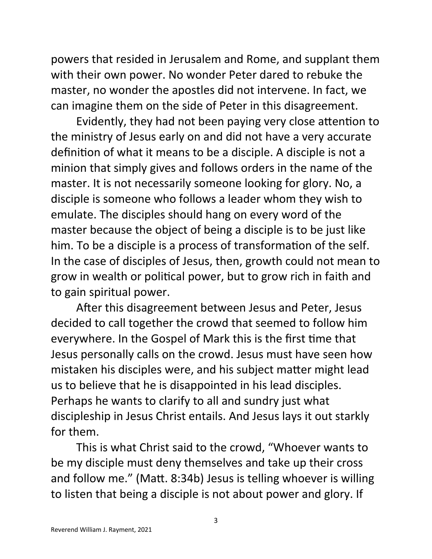powers that resided in Jerusalem and Rome, and supplant them with their own power. No wonder Peter dared to rebuke the master, no wonder the apostles did not intervene. In fact, we can imagine them on the side of Peter in this disagreement.

Evidently, they had not been paying very close attention to the ministry of Jesus early on and did not have a very accurate definition of what it means to be a disciple. A disciple is not a minion that simply gives and follows orders in the name of the master. It is not necessarily someone looking for glory. No, a disciple is someone who follows a leader whom they wish to emulate. The disciples should hang on every word of the master because the object of being a disciple is to be just like him. To be a disciple is a process of transformation of the self. In the case of disciples of Jesus, then, growth could not mean to grow in wealth or political power, but to grow rich in faith and to gain spiritual power.

After this disagreement between Jesus and Peter, Jesus decided to call together the crowd that seemed to follow him everywhere. In the Gospel of Mark this is the first time that Jesus personally calls on the crowd. Jesus must have seen how mistaken his disciples were, and his subject matter might lead us to believe that he is disappointed in his lead disciples. Perhaps he wants to clarify to all and sundry just what discipleship in Jesus Christ entails. And Jesus lays it out starkly for them.

This is what Christ said to the crowd, "Whoever wants to be my disciple must deny themselves and take up their cross and follow me." (Matt. 8:34b) Jesus is telling whoever is willing to listen that being a disciple is not about power and glory. If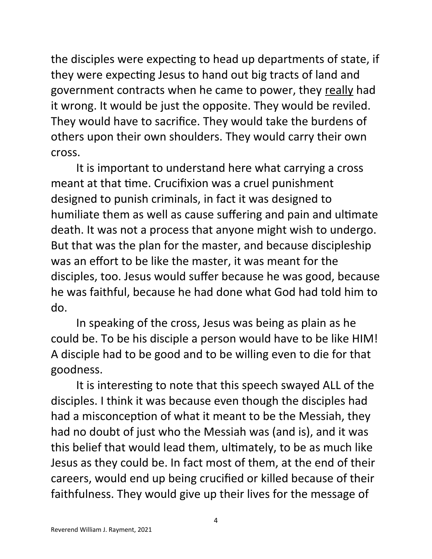the disciples were expecting to head up departments of state, if they were expecting Jesus to hand out big tracts of land and government contracts when he came to power, they really had it wrong. It would be just the opposite. They would be reviled. They would have to sacrifice. They would take the burdens of others upon their own shoulders. They would carry their own cross.

It is important to understand here what carrying a cross meant at that time. Crucifixion was a cruel punishment designed to punish criminals, in fact it was designed to humiliate them as well as cause suffering and pain and ultimate death. It was not a process that anyone might wish to undergo. But that was the plan for the master, and because discipleship was an effort to be like the master, it was meant for the disciples, too. Jesus would suffer because he was good, because he was faithful, because he had done what God had told him to do.

In speaking of the cross, Jesus was being as plain as he could be. To be his disciple a person would have to be like HIM! A disciple had to be good and to be willing even to die for that goodness.

It is interesting to note that this speech swayed ALL of the disciples. I think it was because even though the disciples had had a misconception of what it meant to be the Messiah, they had no doubt of just who the Messiah was (and is), and it was this belief that would lead them, ultimately, to be as much like Jesus as they could be. In fact most of them, at the end of their careers, would end up being crucified or killed because of their faithfulness. They would give up their lives for the message of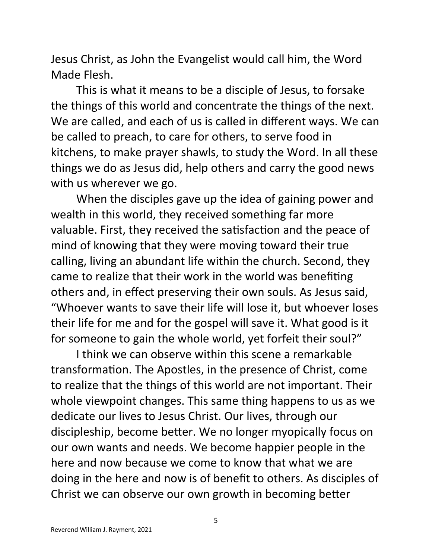Jesus Christ, as John the Evangelist would call him, the Word Made Flesh.

This is what it means to be a disciple of Jesus, to forsake the things of this world and concentrate the things of the next. We are called, and each of us is called in different ways. We can be called to preach, to care for others, to serve food in kitchens, to make prayer shawls, to study the Word. In all these things we do as Jesus did, help others and carry the good news with us wherever we go.

When the disciples gave up the idea of gaining power and wealth in this world, they received something far more valuable. First, they received the satisfaction and the peace of mind of knowing that they were moving toward their true calling, living an abundant life within the church. Second, they came to realize that their work in the world was benefiting others and, in effect preserving their own souls. As Jesus said, "Whoever wants to save their life will lose it, but whoever loses their life for me and for the gospel will save it. What good is it for someone to gain the whole world, yet forfeit their soul?"

I think we can observe within this scene a remarkable transformation. The Apostles, in the presence of Christ, come to realize that the things of this world are not important. Their whole viewpoint changes. This same thing happens to us as we dedicate our lives to Jesus Christ. Our lives, through our discipleship, become better. We no longer myopically focus on our own wants and needs. We become happier people in the here and now because we come to know that what we are doing in the here and now is of benefit to others. As disciples of Christ we can observe our own growth in becoming better